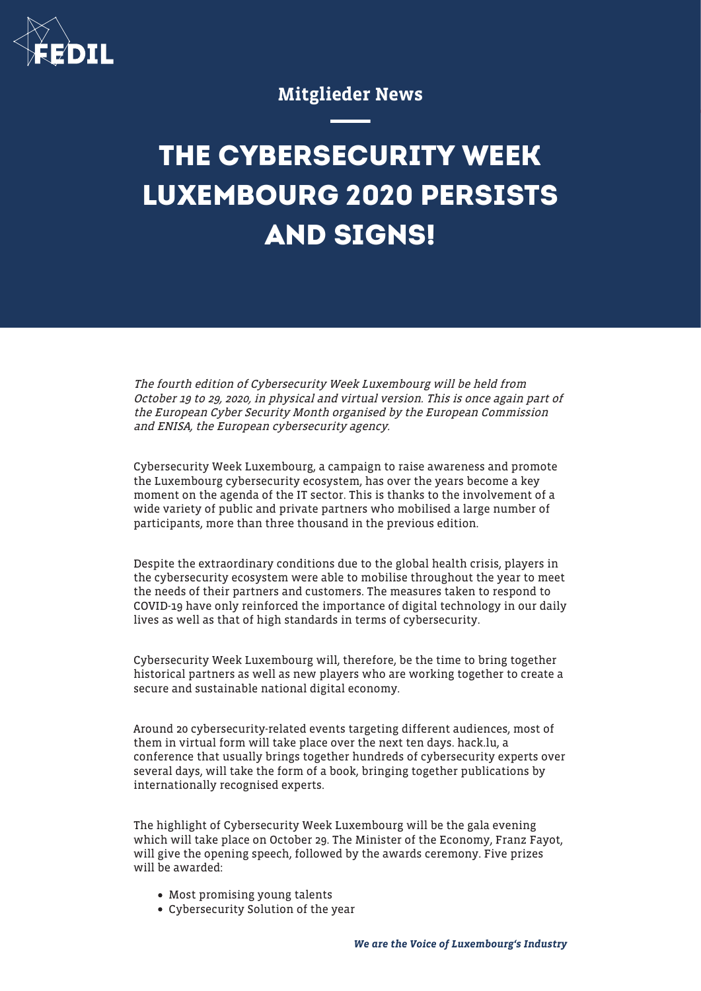

## Mitglieder News

## **THE CYBERSECURITY WEEK LUXEMBOURG 2020 PERSISTS AND SIGNS!**

The fourth edition of Cybersecurity Week Luxembourg will be held from October 19 to 29, 2020, in physical and virtual version. This is once again part of the European Cyber Security Month organised by the European Commission and ENISA, the European cybersecurity agency.

Cybersecurity Week Luxembourg, a campaign to raise awareness and promote the Luxembourg cybersecurity ecosystem, has over the years become a key moment on the agenda of the IT sector. This is thanks to the involvement of a wide variety of public and private partners who mobilised a large number of participants, more than three thousand in the previous edition.

Despite the extraordinary conditions due to the global health crisis, players in the cybersecurity ecosystem were able to mobilise throughout the year to meet the needs of their partners and customers. The measures taken to respond to COVID-19 have only reinforced the importance of digital technology in our daily lives as well as that of high standards in terms of cybersecurity.

Cybersecurity Week Luxembourg will, therefore, be the time to bring together historical partners as well as new players who are working together to create a secure and sustainable national digital economy.

Around 20 cybersecurity-related events targeting different audiences, most of them in virtual form will take place over the next ten days. hack.lu, a conference that usually brings together hundreds of cybersecurity experts over several days, will take the form of a book, bringing together publications by internationally recognised experts.

The highlight of Cybersecurity Week Luxembourg will be the gala evening which will take place on October 29. The Minister of the Economy, Franz Fayot, will give the opening speech, followed by the awards ceremony. Five prizes will be awarded:

- Most promising young talents
- Cybersecurity Solution of the year